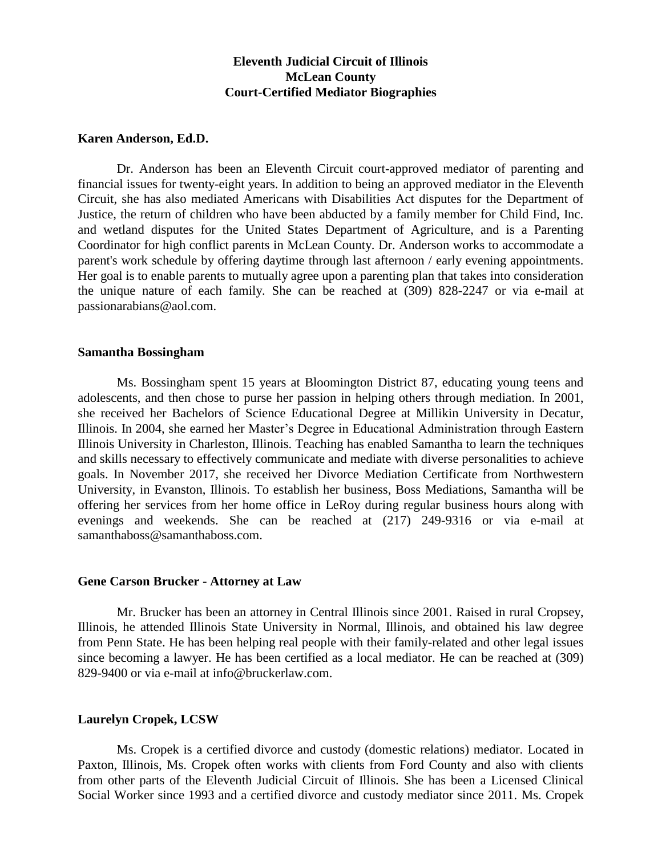# **Eleventh Judicial Circuit of Illinois McLean County Court-Certified Mediator Biographies**

#### **Karen Anderson, Ed.D.**

Dr. Anderson has been an Eleventh Circuit court-approved mediator of parenting and financial issues for twenty-eight years. In addition to being an approved mediator in the Eleventh Circuit, she has also mediated Americans with Disabilities Act disputes for the Department of Justice, the return of children who have been abducted by a family member for Child Find, Inc. and wetland disputes for the United States Department of Agriculture, and is a Parenting Coordinator for high conflict parents in McLean County. Dr. Anderson works to accommodate a parent's work schedule by offering daytime through last afternoon / early evening appointments. Her goal is to enable parents to mutually agree upon a parenting plan that takes into consideration the unique nature of each family. She can be reached at (309) 828-2247 or via e-mail at passionarabians@aol.com.

#### **Samantha Bossingham**

Ms. Bossingham spent 15 years at Bloomington District 87, educating young teens and adolescents, and then chose to purse her passion in helping others through mediation. In 2001, she received her Bachelors of Science Educational Degree at Millikin University in Decatur, Illinois. In 2004, she earned her Master's Degree in Educational Administration through Eastern Illinois University in Charleston, Illinois. Teaching has enabled Samantha to learn the techniques and skills necessary to effectively communicate and mediate with diverse personalities to achieve goals. In November 2017, she received her Divorce Mediation Certificate from Northwestern University, in Evanston, Illinois. To establish her business, Boss Mediations, Samantha will be offering her services from her home office in LeRoy during regular business hours along with evenings and weekends. She can be reached at (217) 249-9316 or via e-mail at samanthaboss@samanthaboss.com.

## **Gene Carson Brucker - Attorney at Law**

Mr. Brucker has been an attorney in Central Illinois since 2001. Raised in rural Cropsey, Illinois, he attended Illinois State University in Normal, Illinois, and obtained his law degree from Penn State. He has been helping real people with their family-related and other legal issues since becoming a lawyer. He has been certified as a local mediator. He can be reached at (309) 829-9400 or via e-mail at info@bruckerlaw.com.

# **Laurelyn Cropek, LCSW**

Ms. Cropek is a certified divorce and custody (domestic relations) mediator. Located in Paxton, Illinois, Ms. Cropek often works with clients from Ford County and also with clients from other parts of the Eleventh Judicial Circuit of Illinois. She has been a Licensed Clinical Social Worker since 1993 and a certified divorce and custody mediator since 2011. Ms. Cropek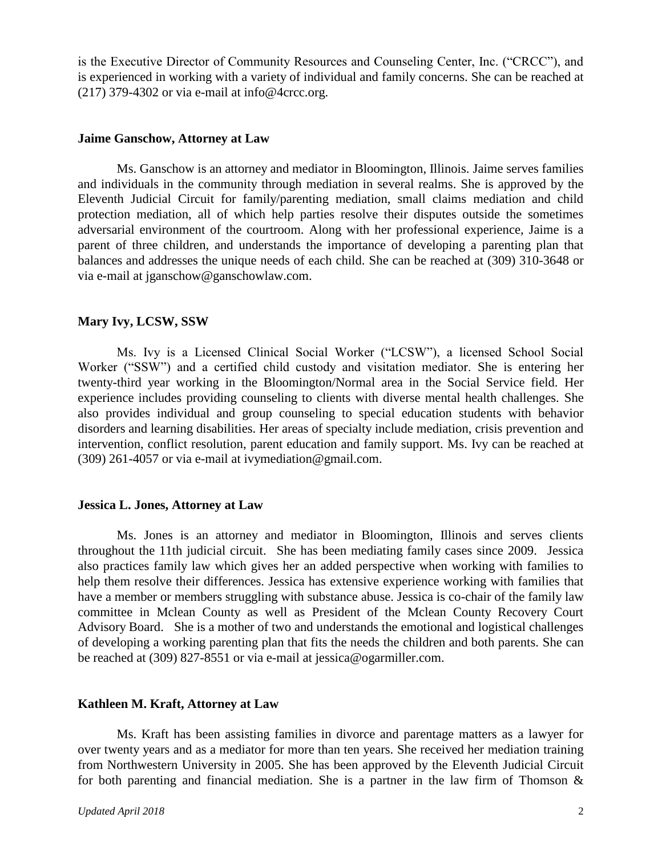is the Executive Director of Community Resources and Counseling Center, Inc. ("CRCC"), and is experienced in working with a variety of individual and family concerns. She can be reached at (217) 379-4302 or via e-mail at info $@4$ crcc.org.

#### **Jaime Ganschow, Attorney at Law**

Ms. Ganschow is an attorney and mediator in Bloomington, Illinois. Jaime serves families and individuals in the community through mediation in several realms. She is approved by the Eleventh Judicial Circuit for family/parenting mediation, small claims mediation and child protection mediation, all of which help parties resolve their disputes outside the sometimes adversarial environment of the courtroom. Along with her professional experience, Jaime is a parent of three children, and understands the importance of developing a parenting plan that balances and addresses the unique needs of each child. She can be reached at (309) 310-3648 or via e-mail at jganschow@ganschowlaw.com.

# **Mary Ivy, LCSW, SSW**

Ms. Ivy is a Licensed Clinical Social Worker ("LCSW"), a licensed School Social Worker ("SSW") and a certified child custody and visitation mediator. She is entering her twenty-third year working in the Bloomington/Normal area in the Social Service field. Her experience includes providing counseling to clients with diverse mental health challenges. She also provides individual and group counseling to special education students with behavior disorders and learning disabilities. Her areas of specialty include mediation, crisis prevention and intervention, conflict resolution, parent education and family support. Ms. Ivy can be reached at (309) 261-4057 or via e-mail at ivymediation@gmail.com.

## **Jessica L. Jones, Attorney at Law**

Ms. Jones is an attorney and mediator in Bloomington, Illinois and serves clients throughout the 11th judicial circuit. She has been mediating family cases since 2009. Jessica also practices family law which gives her an added perspective when working with families to help them resolve their differences. Jessica has extensive experience working with families that have a member or members struggling with substance abuse. Jessica is co-chair of the family law committee in Mclean County as well as President of the Mclean County Recovery Court Advisory Board. She is a mother of two and understands the emotional and logistical challenges of developing a working parenting plan that fits the needs the children and both parents. She can be reached at (309) 827-8551 or via e-mail at jessica@ogarmiller.com.

## **Kathleen M. Kraft, Attorney at Law**

Ms. Kraft has been assisting families in divorce and parentage matters as a lawyer for over twenty years and as a mediator for more than ten years. She received her mediation training from Northwestern University in 2005. She has been approved by the Eleventh Judicial Circuit for both parenting and financial mediation. She is a partner in the law firm of Thomson  $\&$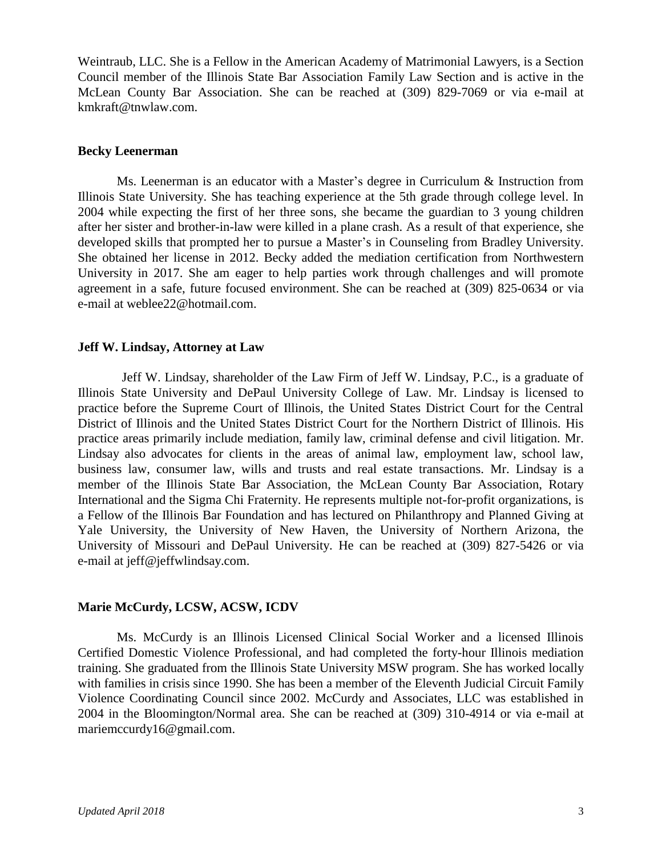Weintraub, LLC. She is a Fellow in the American Academy of Matrimonial Lawyers, is a Section Council member of the Illinois State Bar Association Family Law Section and is active in the McLean County Bar Association. She can be reached at (309) 829-7069 or via e-mail at kmkraft@tnwlaw.com.

## **Becky Leenerman**

Ms. Leenerman is an educator with a Master's degree in Curriculum & Instruction from Illinois State University. She has teaching experience at the 5th grade through college level. In 2004 while expecting the first of her three sons, she became the guardian to 3 young children after her sister and brother-in-law were killed in a plane crash. As a result of that experience, she developed skills that prompted her to pursue a Master's in Counseling from Bradley University. She obtained her license in 2012. Becky added the mediation certification from Northwestern University in 2017. She am eager to help parties work through challenges and will promote agreement in a safe, future focused environment. She can be reached at (309) 825-0634 or via e-mail at weblee22@hotmail.com.

# **Jeff W. Lindsay, Attorney at Law**

Jeff W. Lindsay, shareholder of the Law Firm of Jeff W. Lindsay, P.C., is a graduate of Illinois State University and DePaul University College of Law. Mr. Lindsay is licensed to practice before the Supreme Court of Illinois, the United States District Court for the Central District of Illinois and the United States District Court for the Northern District of Illinois. His practice areas primarily include mediation, family law, criminal defense and civil litigation. Mr. Lindsay also advocates for clients in the areas of animal law, employment law, school law, business law, consumer law, wills and trusts and real estate transactions. Mr. Lindsay is a member of the Illinois State Bar Association, the McLean County Bar Association, Rotary International and the Sigma Chi Fraternity. He represents multiple not-for-profit organizations, is a Fellow of the Illinois Bar Foundation and has lectured on Philanthropy and Planned Giving at Yale University, the University of New Haven, the University of Northern Arizona, the University of Missouri and DePaul University. He can be reached at (309) 827-5426 or via e-mail at jeff@jeffwlindsay.com.

# **Marie McCurdy, LCSW, ACSW, ICDV**

Ms. McCurdy is an Illinois Licensed Clinical Social Worker and a licensed Illinois Certified Domestic Violence Professional, and had completed the forty-hour Illinois mediation training. She graduated from the Illinois State University MSW program. She has worked locally with families in crisis since 1990. She has been a member of the Eleventh Judicial Circuit Family Violence Coordinating Council since 2002. McCurdy and Associates, LLC was established in 2004 in the Bloomington/Normal area. She can be reached at (309) 310-4914 or via e-mail at mariemccurdy16@gmail.com.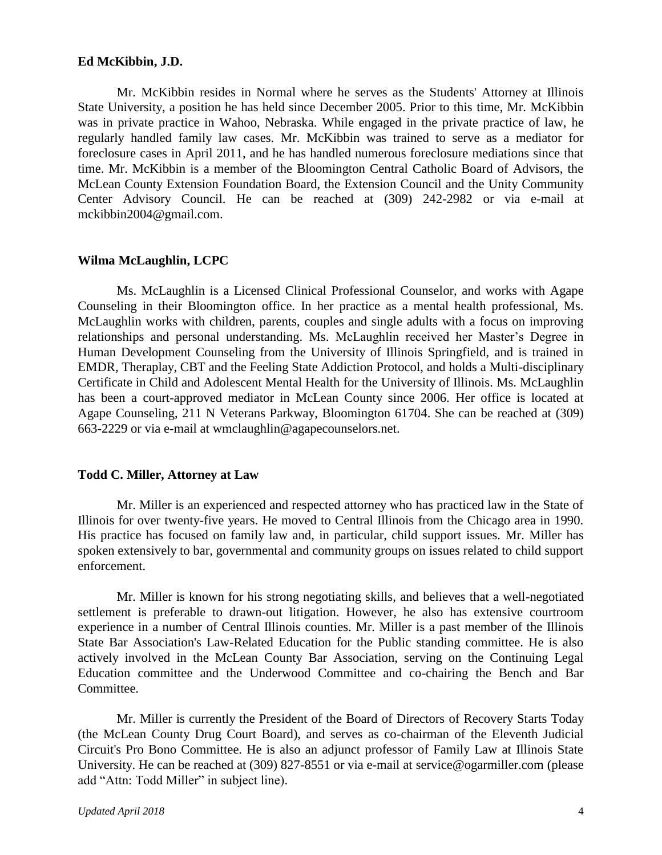## **Ed McKibbin, J.D.**

Mr. McKibbin resides in Normal where he serves as the Students' Attorney at Illinois State University, a position he has held since December 2005. Prior to this time, Mr. McKibbin was in private practice in Wahoo, Nebraska. While engaged in the private practice of law, he regularly handled family law cases. Mr. McKibbin was trained to serve as a mediator for foreclosure cases in April 2011, and he has handled numerous foreclosure mediations since that time. Mr. McKibbin is a member of the Bloomington Central Catholic Board of Advisors, the McLean County Extension Foundation Board, the Extension Council and the Unity Community Center Advisory Council. He can be reached at (309) 242-2982 or via e-mail at mckibbin2004@gmail.com.

#### **Wilma McLaughlin, LCPC**

Ms. McLaughlin is a Licensed Clinical Professional Counselor, and works with Agape Counseling in their Bloomington office. In her practice as a mental health professional, Ms. McLaughlin works with children, parents, couples and single adults with a focus on improving relationships and personal understanding. Ms. McLaughlin received her Master's Degree in Human Development Counseling from the University of Illinois Springfield, and is trained in EMDR, Theraplay, CBT and the Feeling State Addiction Protocol, and holds a Multi-disciplinary Certificate in Child and Adolescent Mental Health for the University of Illinois. Ms. McLaughlin has been a court-approved mediator in McLean County since 2006. Her office is located at Agape Counseling, 211 N Veterans Parkway, Bloomington 61704. She can be reached at (309) 663-2229 or via e-mail at wmclaughlin@agapecounselors.net.

# **Todd C. Miller, Attorney at Law**

Mr. Miller is an experienced and respected attorney who has practiced law in the State of Illinois for over twenty-five years. He moved to Central Illinois from the Chicago area in 1990. His practice has focused on family law and, in particular, child support issues. Mr. Miller has spoken extensively to bar, governmental and community groups on issues related to child support enforcement.

Mr. Miller is known for his strong negotiating skills, and believes that a well-negotiated settlement is preferable to drawn-out litigation. However, he also has extensive courtroom experience in a number of Central Illinois counties. Mr. Miller is a past member of the Illinois State Bar Association's Law-Related Education for the Public standing committee. He is also actively involved in the McLean County Bar Association, serving on the Continuing Legal Education committee and the Underwood Committee and co-chairing the Bench and Bar Committee.

Mr. Miller is currently the President of the Board of Directors of Recovery Starts Today (the McLean County Drug Court Board), and serves as co-chairman of the Eleventh Judicial Circuit's Pro Bono Committee. He is also an adjunct professor of Family Law at Illinois State University. He can be reached at (309) 827-8551 or via e-mail at service@ogarmiller.com (please add "Attn: Todd Miller" in subject line).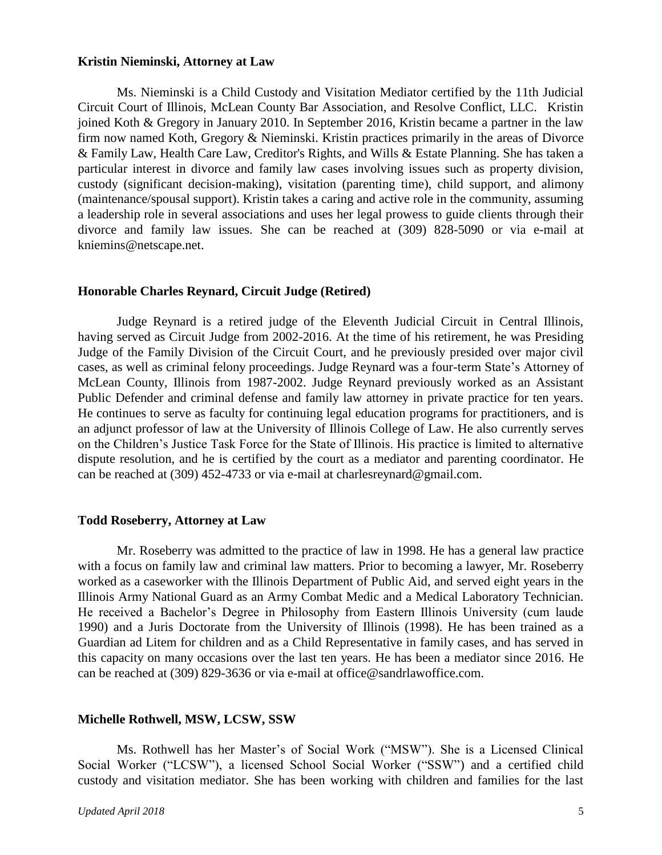## **Kristin Nieminski, Attorney at Law**

Ms. Nieminski is a Child Custody and Visitation Mediator certified by the 11th Judicial Circuit Court of Illinois, McLean County Bar Association, and Resolve Conflict, LLC. Kristin joined Koth & Gregory in January 2010. In September 2016, Kristin became a partner in the law firm now named Koth, Gregory & Nieminski. Kristin practices primarily in the areas of Divorce & Family Law, Health Care Law, Creditor's Rights, and Wills & Estate Planning. She has taken a particular interest in divorce and family law cases involving issues such as property division, custody (significant decision-making), visitation (parenting time), child support, and alimony (maintenance/spousal support). Kristin takes a caring and active role in the community, assuming a leadership role in several associations and uses her legal prowess to guide clients through their divorce and family law issues. She can be reached at (309) 828-5090 or via e-mail at kniemins@netscape.net.

## **Honorable Charles Reynard, Circuit Judge (Retired)**

Judge Reynard is a retired judge of the Eleventh Judicial Circuit in Central Illinois, having served as Circuit Judge from 2002-2016. At the time of his retirement, he was Presiding Judge of the Family Division of the Circuit Court, and he previously presided over major civil cases, as well as criminal felony proceedings. Judge Reynard was a four-term State's Attorney of McLean County, Illinois from 1987-2002. Judge Reynard previously worked as an Assistant Public Defender and criminal defense and family law attorney in private practice for ten years. He continues to serve as faculty for continuing legal education programs for practitioners, and is an adjunct professor of law at the University of Illinois College of Law. He also currently serves on the Children's Justice Task Force for the State of Illinois. His practice is limited to alternative dispute resolution, and he is certified by the court as a mediator and parenting coordinator. He can be reached at (309) 452-4733 or via e-mail at charlesreynard@gmail.com.

#### **Todd Roseberry, Attorney at Law**

Mr. Roseberry was admitted to the practice of law in 1998. He has a general law practice with a focus on family law and criminal law matters. Prior to becoming a lawyer, Mr. Roseberry worked as a caseworker with the Illinois Department of Public Aid, and served eight years in the Illinois Army National Guard as an Army Combat Medic and a Medical Laboratory Technician. He received a Bachelor's Degree in Philosophy from Eastern Illinois University (cum laude 1990) and a Juris Doctorate from the University of Illinois (1998). He has been trained as a Guardian ad Litem for children and as a Child Representative in family cases, and has served in this capacity on many occasions over the last ten years. He has been a mediator since 2016. He can be reached at (309) 829-3636 or via e-mail at office@sandrlawoffice.com.

#### **Michelle Rothwell, MSW, LCSW, SSW**

Ms. Rothwell has her Master's of Social Work ("MSW"). She is a Licensed Clinical Social Worker ("LCSW"), a licensed School Social Worker ("SSW") and a certified child custody and visitation mediator. She has been working with children and families for the last